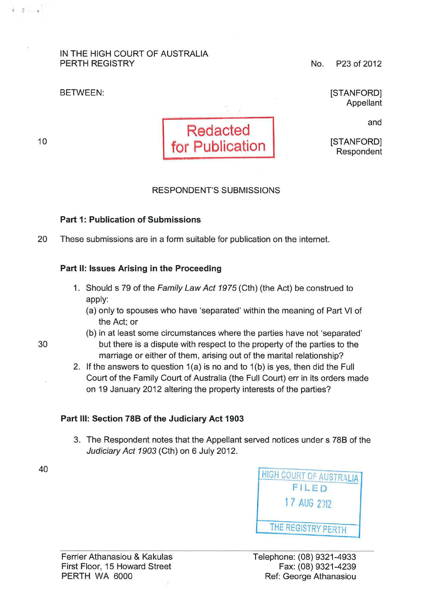## IN THE HIGH COURT OF AUSTRALIA PERTH REGISTRY

BETWEEN:

10

 $\blacksquare$ 



No. P23 of 2012

[STANFORD] Appellant

and

[STANFORD] Respondent

## RESPONDENT'S SUBMISSIONS

## Part 1: Publication of Submissions

20 These submissions are in a form suitable for publication on the internet.

## Part II: Issues Arising in the Proceeding

- 1. Should s 79 of the Family Law Act 1975 (Cth) (the Act) be construed to apply:
	- (a) only to spouses who have 'separated' within the meaning of Part VI of the Act; or
- (b) in at least some circumstances where the parties have not 'separated' 30 but there is a dispute with respect to the property of the parties to the marriage or either of them, arising out of the marital relationship?
	- 2. If the answers to question 1(a) is no and to 1(b) is yes, then did the Full Court of the Family Court of Australia (the Full Court) err in its orders made on 19 January 2012 altering the property interests of the parties?

## Part Ill: Section 788 of the Judiciary Act 1903

3. The Respondent notes that the Appellant served notices under s 788 of the Judiciary Act 1903 (Cth) on 6 July 2012.

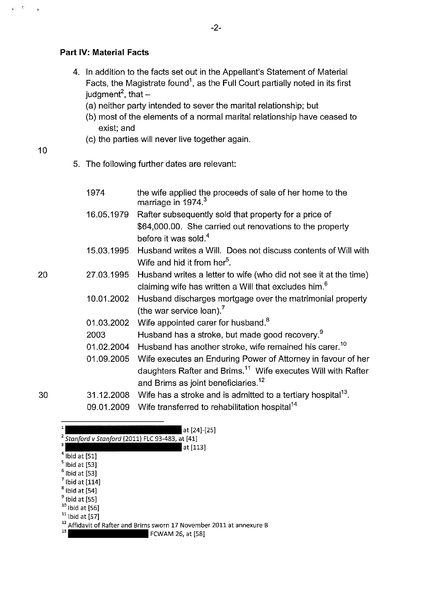## **Part IV: Material Facts**

- 4. In addition to the facts set out in the Appellant's Statement of Material Facts, the Magistrate found<sup>1</sup>, as the Full Court partially noted in its first judgment<sup>2</sup>, that  $-$ 
	- (a) neither party intended to sever the marital relationship; but
	- (b) most of the elements of a normal marital relationship have ceased to exist; and
	- (c) the parties will never live together again.

10

 $\mathbf{g}^{\perp}=\frac{\mathbf{g}}{n}$ 

 $\overline{a}$ 

20

5. The following further dates are relevant:

|    | 1974       | the wife applied the proceeds of sale of her home to the<br>marriage in 1974. <sup>3</sup>                                           |
|----|------------|--------------------------------------------------------------------------------------------------------------------------------------|
|    | 16.05.1979 | Rafter subsequently sold that property for a price of                                                                                |
|    |            | \$64,000.00. She carried out renovations to the property<br>before it was sold. <sup>4</sup>                                         |
|    | 15.03.1995 | Husband writes a Will. Does not discuss contents of Will with<br>Wife and hid it from her <sup>5</sup> .                             |
| 20 | 27.03.1995 | Husband writes a letter to wife (who did not see it at the time)<br>claiming wife has written a Will that excludes him. <sup>6</sup> |
|    | 10.01.2002 | Husband discharges mortgage over the matrimonial property<br>(the war service loan). <sup>7</sup>                                    |
|    | 01.03.2002 | Wife appointed carer for husband. <sup>8</sup>                                                                                       |
|    | 2003       | Husband has a stroke, but made good recovery. <sup>9</sup>                                                                           |
|    | 01.02.2004 | Husband has another stroke, wife remained his carer. <sup>10</sup>                                                                   |
|    | 01.09.2005 | Wife executes an Enduring Power of Attorney in favour of her                                                                         |
|    |            | daughters Rafter and Brims. <sup>11</sup> Wife executes Will with Rafter<br>and Brims as joint beneficiaries. <sup>12</sup>          |
| 30 | 31.12.2008 | Wife has a stroke and is admitted to a tertiary hospital <sup>13</sup> .                                                             |
|    | na nt pnna | Wife transferred to rehabilitation hospital <sup>14</sup>                                                                            |

| -  |  |
|----|--|
| ۰. |  |
|    |  |

09.01.2009 Wife transferred to rehabilitation hospital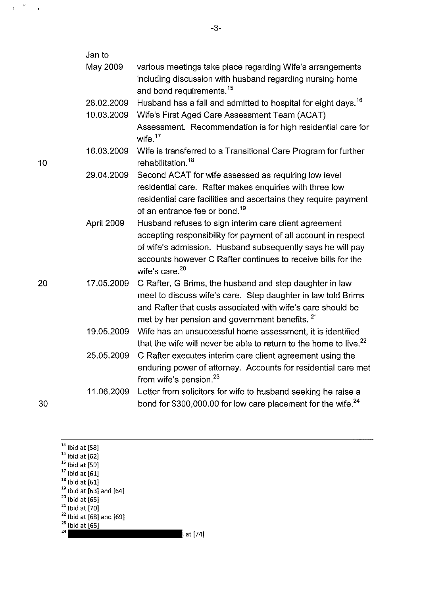|    | Jan to     |                                                                                                                          |
|----|------------|--------------------------------------------------------------------------------------------------------------------------|
|    | May 2009   | various meetings take place regarding Wife's arrangements                                                                |
|    |            | including discussion with husband regarding nursing home<br>and bond requirements. <sup>15</sup>                         |
|    | 28.02.2009 | Husband has a fall and admitted to hospital for eight days. <sup>16</sup>                                                |
|    | 10.03.2009 | Wife's First Aged Care Assessment Team (ACAT)                                                                            |
|    |            | Assessment. Recommendation is for high residential care for<br>wife. $17$                                                |
| 10 | 16.03.2009 | Wife is transferred to a Transitional Care Program for further<br>rehabilitation. <sup>18</sup>                          |
|    | 29.04.2009 | Second ACAT for wife assessed as requiring low level                                                                     |
|    |            | residential care. Rafter makes enquiries with three low                                                                  |
|    |            | residential care facilities and ascertains they require payment<br>of an entrance fee or bond. <sup>19</sup>             |
|    | April 2009 | Husband refuses to sign interim care client agreement                                                                    |
|    |            | accepting responsibility for payment of all account in respect                                                           |
|    |            | of wife's admission. Husband subsequently says he will pay                                                               |
|    |            | accounts however C Rafter continues to receive bills for the<br>wife's care. <sup>20</sup>                               |
| 20 | 17.05.2009 | C Rafter, G Brims, the husband and step daughter in law                                                                  |
|    |            | meet to discuss wife's care. Step daughter in law told Brims                                                             |
|    |            | and Rafter that costs associated with wife's care should be<br>met by her pension and government benefits. <sup>21</sup> |
|    | 19.05.2009 | Wife has an unsuccessful home assessment, it is identified                                                               |
|    |            | that the wife will never be able to return to the home to live. <sup>22</sup>                                            |
|    | 25.05.2009 | C Rafter executes interim care client agreement using the                                                                |
|    |            | enduring power of attorney. Accounts for residential care met<br>from wife's pension. <sup>23</sup>                      |
|    | 11.06.2009 | Letter from solicitors for wife to husband seeking he raise a                                                            |
| 30 |            | bond for \$300,000.00 for low care placement for the wife. <sup>24</sup>                                                 |
|    |            |                                                                                                                          |

 $14$  Ibid at [58] <sup>15</sup> Ibid at [62]<br><sup>16</sup> Ibid at [61]<br><sup>17</sup> Ibid at [61]<br><sup>19</sup> Ibid at [61]<br><sup>20</sup> Ibid at [65]<br><sup>21</sup> Ibid at [70]<br><sup>22</sup> Ibid at [68] and [69]<br><sup>23</sup> Ibid at [68] and [69]  $24$  at [74] -3-

 $\begin{array}{ccc} &\mathbb{R}^2&\mathbb{R}^2\\ &\mathbb{R}^2&\mathbb{R}^2&\mathbb{R}^2\end{array}$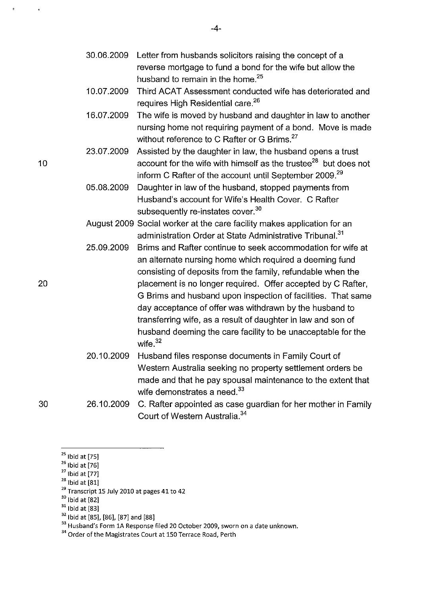| 30.06.2009 Letter from husbands solicitors raising the concept of a |
|---------------------------------------------------------------------|
| reverse mortgage to fund a bond for the wife but allow the          |
| husband to remain in the home. <sup>25</sup>                        |

-4-

10.07.2009 Third ACAT Assessment conducted wife has deteriorated and requires High Residential care.<sup>26</sup>

16.07.2009 The wife is moved by husband and daughter in law to another nursing home not requiring payment of a bond. Move is made without reference to C Rafter or G Brims.<sup>27</sup>

23.07.2009 Assisted by the daughter in law, the husband opens a trust 10 **10** account for the wife with himself as the trustee<sup>28</sup> but does not inform C Rafter of the account until September 2009.<sup>29</sup>

> 05.08.2009 Daughter in law of the husband, stopped payments from Husband's account for Wife's Health Cover. C Rafter subsequently re-instates cover.<sup>30</sup>

August 2009 Social worker at the care facility makes application for an administration Order at State Administrative Tribunal.<sup>31</sup>

- 25.09.2009 Brims and Rafter continue to seek accommodation for wife at an alternate nursing home which required a deeming fund consisting of deposits from the family, refundable when the placement is no longer required. Offer accepted by C Rafter, G Brims and husband upon inspection of facilities. That same day acceptance of offer was withdrawn by the husband to transferring wife, as a result of daughter in law and son of husband deeming the care facility to be unacceptable for the wife $32$
- 20.10.2009 Husband files response documents in Family Court of Western Australia seeking no property settlement orders be made and that he pay spousal maintenance to the extent that wife demonstrates a need.<sup>33</sup>

30 26.10.2009 C. Rafter appointed as case guardian for her mother in Family Court of Western Australia. <sup>34</sup>

 $25$  Ibid at [75]

<sup>32</sup> Ibid at [85], [86], [87] and [88]

<sup>&</sup>lt;sup>26</sup> Ibid at [76]

 $^{27}$  Ibid at [77]<br> $^{28}$  Ibid at [81]

<sup>&</sup>lt;sup>29</sup> Transcript 15 July 2010 at pages 41 to 42<sup>30</sup> Ibid at  $[82]$ 

 $31$  Ibid at [83]

<sup>&</sup>lt;sup>33</sup> Husband's Form 1A Response filed 20 October 2009, sworn on a date unknown.

<sup>&</sup>lt;sup>34</sup> Order of the Magistrates Court at 150 Terrace Road, Perth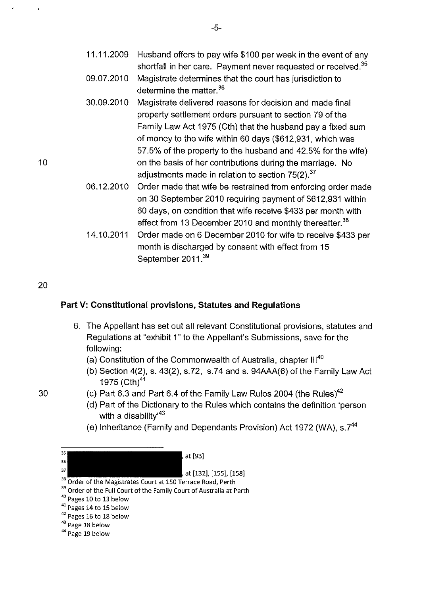| 11.11.2009 Husband offers to pay wife \$100 per week in the event of any  |
|---------------------------------------------------------------------------|
| shortfall in her care. Payment never requested or received. <sup>35</sup> |

- 09.07.2010 Magistrate determines that the court has jurisdiction to determine the matter.<sup>36</sup>
- 30.09.2010 Magistrate delivered reasons for decision and made final property settlement orders pursuant to section 79 of the Family Law Act 1975 (Cth) that the husband pay a fixed sum of money to the wife within 60 days (\$612,931, which was 57.5% of the property to the husband and 42.5% for the wife) on the basis of her contributions during the marriage. No adjustments made in relation to section  $75(2).^{37}$
- 06.12.2010 Order made that wife be restrained from enforcing order made on 30 September 2010 requiring payment of \$612,931 within 60 days, on condition that wife receive \$433 per month with effect from 13 December 2010 and monthly thereafter.<sup>38</sup>
- 14.10.2011 Order made on 6 December 2010 for wife to receive \$433 per month is discharged by consent with effect from 15 September 2011.<sup>39</sup>

## 20

10

## **Part V: Constitutional provisions, Statutes and Regulations**

- 6. The Appellant has set out all relevant Constitutional provisions, statutes and Regulations at "exhibit 1" to the Appellant's Submissions, save for the following:
	- (a) Constitution of the Commonwealth of Australia, chapter III<sup>40</sup>
	- (b) Section 4(2), s. 43(2), s.72, s.74 and s. 94AAA(6) of the Family Law Act 1975 (Cth) $41$
- 30

35 36

- (c) Part 6.3 and Part 6.4 of the Family Law Rules 2004 (the Rules)<sup>42</sup>
	- (d) Part of the Dictionary to the Rules which contains the definition 'person with a disability<sup>43</sup>
	- (e) Inheritance (Family and Dependants Provision) Act 1972 (WA), s.7<sup>44</sup>

at [93]

37 at [132], [155], [158]

38 Order of the Magistrates Court at 150 Terrace Road, Perth

<sup>43</sup> Page 18 below

<sup>&</sup>lt;sup>39</sup> Order of the Full Court of the Family Court of Australia at Perth

<sup>&</sup>lt;sup>40</sup> Pages 10 to 13 below

<sup>&</sup>lt;sup>41</sup> Pages 14 to 15 below

<sup>&</sup>lt;sup>42</sup> Pages 16 to 18 below

<sup>&</sup>lt;sup>44</sup> Page 19 below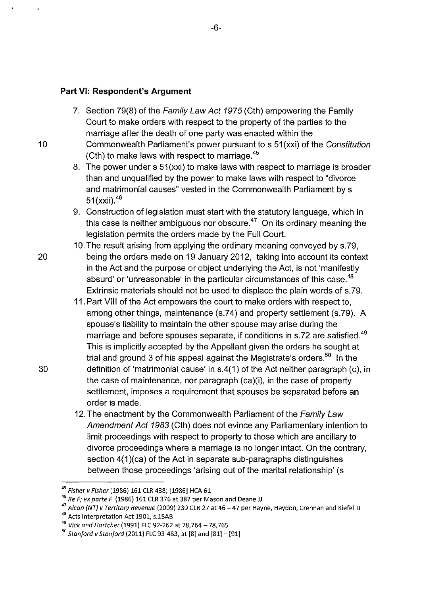### **Part** VI: **Respondent's Argument**

- 7. Section 79(8) of the Family Law Act 1975 (Cth) empowering the Family Court to make orders with respect to the property of the parties to the marriage after the death of one party was enacted within the
- 10 Commonwealth Parliament's power pursuant to s 51 (xxi) of the Constitution (Cth) to make laws with respect to marriage.<sup>45</sup>
	- 8. The power under s 51 (xxi) to make laws with respect to marriage is broader than and unqualified by the power to make laws with respect to "divorce and matrimonial causes" vested in the Commonwealth Parliament by s 51(xxii).<sup>46</sup>
	- 9. Construction of legislation must start with the statutory language, which in this case is neither ambiguous nor obscure. $47$  On its ordinary meaning the legislation permits the orders made by the Full Court.
- 10. The result arising from applying the ordinary meaning conveyed by s.79, 20 being the orders made on 19 January 2012, taking into account its context in the Act and the purpose or object underlying the Act, is not 'manifestly absurd' or 'unreasonable' in the particular circumstances of this case.<sup>48</sup> Extrinsic materials should not be used to displace the plain words of s.79.
- 11. Part VIII of the Act empowers the court to make orders with respect to, among other things, maintenance (s.74) and property settlement (s.79). A spouse's liability to maintain the other spouse may arise during the marriage and before spouses separate, if conditions in s.72 are satisfied.<sup>49</sup> This is implicitly accepted by the Appellant given the orders he sought at trial and ground 3 of his appeal against the Magistrate's orders.<sup>50</sup> In the 30 definition of 'matrimonial cause' in s.4( 1) of the Act neither paragraph (c), in the case of maintenance, nor paragraph (ca)(i), in the case of property settlement, imposes a requirement that spouses be separated before an order is made.
	- 12. The enactment by the Commonwealth Parliament of the Family Law Amendment Act 1983 (Cth} does not evince any Parliamentary intention to limit proceedings with respect to property to those which are ancillary to divorce proceedings where a marriage is no longer intact. On the contrary, section 4(1)(ca) of the Act in separate sub-paragraphs distinguishes between those proceedings 'arising out of the marital relationship' (s

<sup>&</sup>lt;sup>45</sup> Fisher v Fisher (1986) 161 CLR 438; [1986] HCA 61<br><sup>46</sup> Re F; ex parte F (1986) 161 CLR 376 at 387 per Mason and Deane JJ

<sup>&</sup>lt;sup>47</sup> Alcan (NT) v Territory Revenue (2009) 239 CLR 27 at 46 – 47 per Hayne, Heydon, Crennan and Kiefel JJ 48 Acts Interpretation Act 1901, s.15AB

<sup>&</sup>lt;sup>49</sup> Vick and Hartcher (1991) FLC 92-262 at 78,764 - 78,765

 $50$  Stanford v Stanford (2011) FLC 93-483, at [8] and [81] - [91]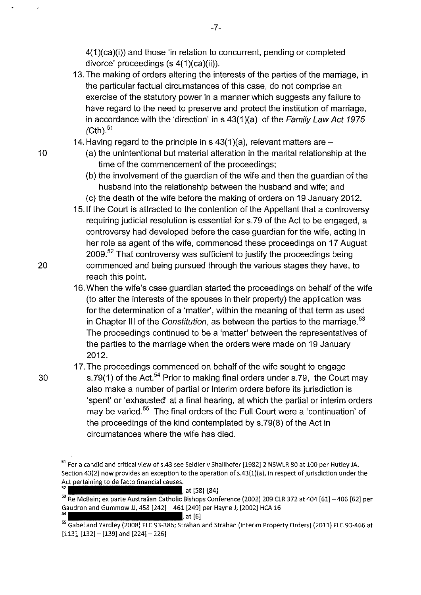4(1 )(ca)(i)) and those 'in relation to concurrent, pending or completed divorce' proceedings (s 4(1 )(ca)(ii)).

-7-

- 13. The making of orders altering the interests of the parties of the marriage, in the particular factual circumstances of this case, do not comprise an exercise of the statutory power in a manner which suggests any failure to have regard to the need to preserve and protect the institution of marriage, in accordance with the 'direction' in  $s$  43(1)(a) of the Family Law Act 1975  $\text{/Cth}$ .  $51$
- 14. Having regard to the principle in s  $43(1)(a)$ , relevant matters are  $-$
- 10 (a) the unintentional but material alteration in the marital relationship at the time of the commencement of the proceedings;
	- (b) the involvement of the guardian of the wife and then the guardian of the husband into the relationship between the husband and wife; and
	- (c) the death of the wife before the making of orders on 19 January 2012.
- 15.1f the Court is attracted to the contention of the Appellant that a controversy requiring judicial resolution is essential for s.79 of the Act to be engaged, a controversy had developed before the case guardian for the wife, acting in her role as agent of the wife, commenced these proceedings on 17 August 2009.<sup>52</sup> That controversy was sufficient to justify the proceedings being 20 commenced and being pursued through the various stages they have, to reach this point.
	- 16. When the wife's case guardian started the proceedings on behalf of the wife (to alter the interests of the spouses in their property) the application was for the determination of a 'matter', within the meaning of that term as used in Chapter III of the Constitution, as between the parties to the marriage.<sup>53</sup> The proceedings continued to be a 'matter' between the representatives of the parties to the marriage when the orders were made on 19 January 2012.

17. The proceedings commenced on behalf of the wife sought to engage

30 s.79(1) of the Act.<sup>54</sup> Prior to making final orders under s.79, the Court may also make a number of partial or interim orders before its jurisdiction is 'spent' or 'exhausted' at a final hearing, at which the partial or interim orders may be varied.<sup>55</sup> The final orders of the Full Court were a 'continuation' of the proceedings of the kind contemplated by s.79(8) of the Act in circumstances where the wife has died.

<sup>&</sup>lt;sup>51</sup> For a candid and critical view of s.43 see Seidler v Shallhofer [1982] 2 NSWLR 80 at 100 per Hutley JA. Section 43(2) now provides an exception to the operation of s.43(1)(a), in respect of jurisdiction under the Act pertaining to de facto financial causes.

<sup>,</sup> at [58]-[84]

<sup>53</sup> Re McBain; ex parte Australian Catholic Bishops Conference (2002) 209 CLR 372 at 404 [61] - 406 [62] per Gaudron and Gummow JJ, 458 [242] - 461 [249] per Hayne J; [2002] HCA 16

<sup>55</sup> Gabel and Yardley (2008) FLC 93-386; Strahan and Strahan (Interim Property Orders) (2011) FLC 93-466 at  $[113]$ ,  $[132] - [139]$  and  $[224] - 226]$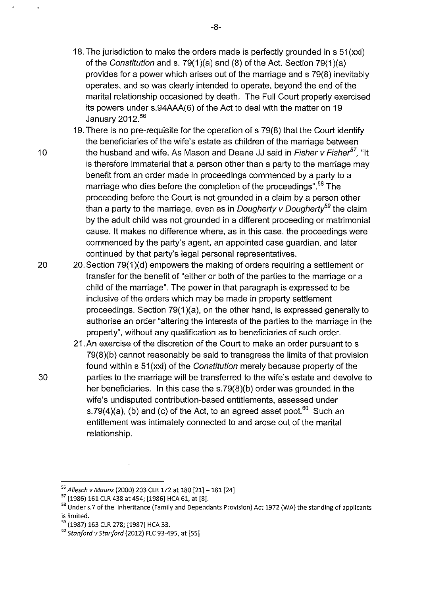- 18. The jurisdiction to make the orders made is perfectly grounded in s 51 (xxi) of the Constitution and s. 79(1 )(a) and (8) of the Act. Section 79(1 )(a) provides for a power which arises out of the marriage and s 79(8) inevitably operates, and so was clearly intended to operate, beyond the end of the marital relationship occasioned by death. The Full Court properly exercised its powers under s.94AAA(6) of the Act to deal with the matter on 19 January 2012.<sup>56</sup>
- 19. There is no pre-requisite for the operation of s 79(8) that the Court identify the beneficiaries of the wife's estate as children of the marriage between 10 the husband and wife. As Mason and Deane JJ said in Fisher v Fisher<sup>57</sup>. "It is therefore immaterial that a person other than a party to the marriage may benefit from an order made in proceedings commenced by a party to a marriage who dies before the completion of the proceedings".<sup>58</sup> The proceeding before the Court is not grounded in a claim by a person other than a party to the marriage, even as in *Dougherty v Dougherty*<sup>59</sup> the claim by the adult child was not grounded in a different proceeding or matrimonial cause. It makes no difference where, as in this case, the proceedings were commenced by the party's agent, an appointed case guardian, and later continued by that party's legal personal representatives.
- 20 20.Section 79(1 )(d) empowers the making of orders requiring a settlement or transfer for the benefit of "either or both of the parties to the marriage or a child of the marriage". The power in that paragraph is expressed to be inclusive of the orders which may be made in property settlement proceedings. Section 79(1 )(a), on the other hand, is expressed generally to authorise an order "altering the interests of the parties to the marriage in the property", without any qualification as to beneficiaries of such order.
- 21.An exercise of the discretion of the Court to make an order pursuant to s 79(8)(b) cannot reasonably be said to transgress the limits of that provision found within s 51(xxi) of the Constitution merely because property of the 30 parties to the marriage will be transferred to the wife's estate and devolve to her beneficiaries. In this case the s.79(8)(b) order was grounded in the wife's undisputed contribution-based entitlements, assessed under s.79(4)(a), (b) and (c) of the Act, to an agreed asset pool. $60$  Such an entitlement was intimately connected to and arose out of the marital relationship.

<sup>56</sup>*Allesch v Maunz* (2000) 203 CLR 172 at 180 [21]-181 [24]

<sup>57</sup>(1986) 161 CLR 438 at 454; [1986] HCA 61, at [8].

<sup>&</sup>lt;sup>58</sup> Under s.7 of the Inheritance (Family and Dependants Provision) Act 1972 (WA) the standing of applicants is limited.

<sup>59</sup>(1987) 163 CLR 278; [1987] HCA 33.

<sup>60</sup>*Stanford v Stanford* (2012) FLC 93-495, at [55]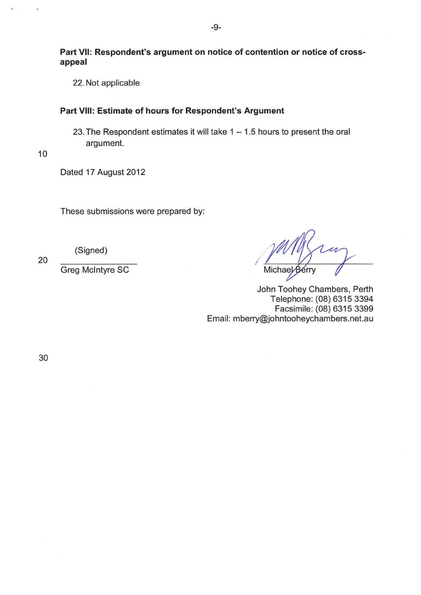**Part** VII: **Respondent's argument on notice of contention or notice of crossappeal** 

22. Not applicable

### **Part** VIII: **Estimate of hours for Respondent's Argument**

23. The Respondent estimates it will take  $1 - 1.5$  hours to present the oral argument.

10

Dated 17 August 2012

These submissions were prepared by:

20

(Signed)

Greg McIntyre SC

Michael Berry

John Toohey Chambers, Perth Telephone: (08) 6315 3394 Facsimile: (08) 6315 3399 Email: mberry@johntooheychambers.net.au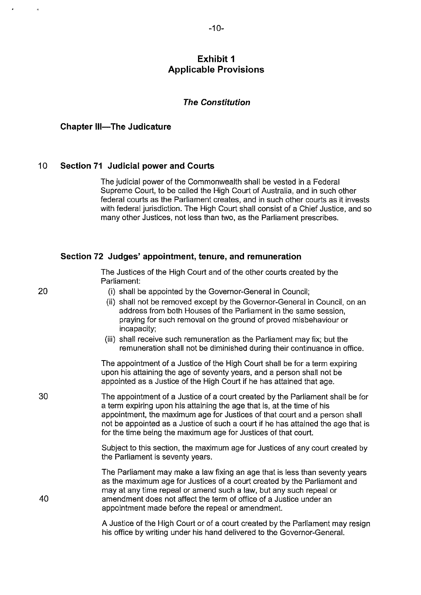## **Exhibit 1 Applicable Provisions**

#### **The Constitution**

#### **Chapter Ill-The Judicature**

 $\alpha$ 

#### 10 **Section 71 Judicial power and Courts**

The judicial power of the Commonwealth shall be vested in a Federal Supreme Court, to be called the High Court of Australia, and in such other federal courts as the Parliament creates, and in such other courts as it invests with federal jurisdiction. The High Court shall consist of a Chief Justice, and so many other Justices, not less than two, as the Parliament prescribes.

|    | Section 72 Judges' appointment, tenure, and remuneration                                                                                                                                                                                                                                                                                                                                                                                               |  |  |
|----|--------------------------------------------------------------------------------------------------------------------------------------------------------------------------------------------------------------------------------------------------------------------------------------------------------------------------------------------------------------------------------------------------------------------------------------------------------|--|--|
|    | The Justices of the High Court and of the other courts created by the<br>Parliament:                                                                                                                                                                                                                                                                                                                                                                   |  |  |
| 20 | (i) shall be appointed by the Governor-General in Council;<br>(ii) shall not be removed except by the Governor-General in Council, on an<br>address from both Houses of the Parliament in the same session,<br>praying for such removal on the ground of proved misbehaviour or<br>incapacity;<br>(iii) shall receive such remuneration as the Parliament may fix; but the<br>remuneration shall not be diminished during their continuance in office. |  |  |
| 30 | The appointment of a Justice of the High Court shall be for a term expiring<br>upon his attaining the age of seventy years, and a person shall not be<br>appointed as a Justice of the High Court if he has attained that age.                                                                                                                                                                                                                         |  |  |
|    | The appointment of a Justice of a court created by the Parliament shall be for<br>a term expiring upon his attaining the age that is, at the time of his<br>appointment, the maximum age for Justices of that court and a person shall<br>not be appointed as a Justice of such a court if he has attained the age that is<br>for the time being the maximum age for Justices of that court.                                                           |  |  |
|    | Subject to this section, the maximum age for Justices of any court created by<br>the Parliament is seventy years.                                                                                                                                                                                                                                                                                                                                      |  |  |
| 40 | The Parliament may make a law fixing an age that is less than seventy years<br>as the maximum age for Justices of a court created by the Parliament and<br>may at any time repeal or amend such a law, but any such repeal or<br>amendment does not affect the term of office of a Justice under an<br>appointment made before the repeal or amendment.                                                                                                |  |  |
|    | A Justice of the High Court or of a court created by the Parliament may resign                                                                                                                                                                                                                                                                                                                                                                         |  |  |

his office by writing under his hand delivered to the Governor-General.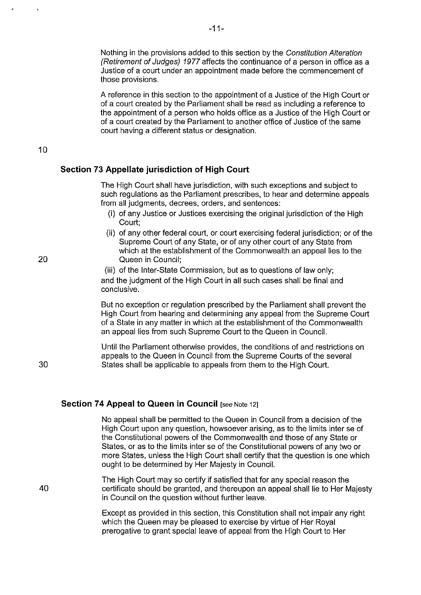Nothing in the provisions added to this section by the Constitution Alteration (Retirement of Judges) 1977 affects the continuance of a person in office as a Justice of a court under an appointment made before the commencement of those provisions.

A reference in this section to the appointment of a Justice of the High Court or of a court created by the Parliament shall be read as including a reference to the appointment of a person who holds office as a Justice of the High Court or of a court created by the Parliament to another office of Justice of the same court having a different status or designation.

#### 10

#### **Section 73 Appellate jurisdiction of High Court**

The High Court shall have jurisdiction, with such exceptions and subject to such regulations as the Parliament prescribes, to hear and determine appeals from all judgments, decrees, orders, and sentences:

- (i) of any Justice or Justices exercising the original jurisdiction of the High Court;
- (ii) of any other federal court, or court exercising federal jurisdiction; or of the Supreme Court of any State, or of any other court of any State from which at the establishment of the Commonwealth an appeal lies to the Queen in Council;

(iii) of the Inter-State Commission, but as to questions of law only; and the judgment of the High Court in all such cases shall be final and conclusive.

But no exception or regulation prescribed by the Parliament shall prevent the High Court from hearing and determining any appeal from the Supreme Court of a State in any matter in which at the establishment of the Commonwealth an appeal lies from such Supreme Court to the Queen in Council.

Until the Parliament otherwise provides, the conditions of and restrictions on appeals to the Queen in Council from the Supreme Courts of the several States shall be applicable to appeals from them to the High Court.

#### **Section 74 Appeal to Queen in Council [see Note 12]**

No appeal shall be permitted to the Queen in Council from a decision of the High Court upon any question, howsoever arising, as to the limits inter se of the Constitutional powers of the Commonwealth and those of any State or States, or as to the limits inter se of the Constitutional powers of any two or more States, unless the High Court shall certify that the question is one which ought to be determined by Her Majesty in Council.

The High Court may so certify if satisfied that for any special reason the certificate should be granted, and thereupon an appeal shall lie to Her Majesty in Council on the question without further leave.

Except as provided in this section, this Constitution shall not impair any right which the Queen may be pleased to exercise by virtue of Her Royal prerogative to grant special leave of appeal from the High Court to Her

20

30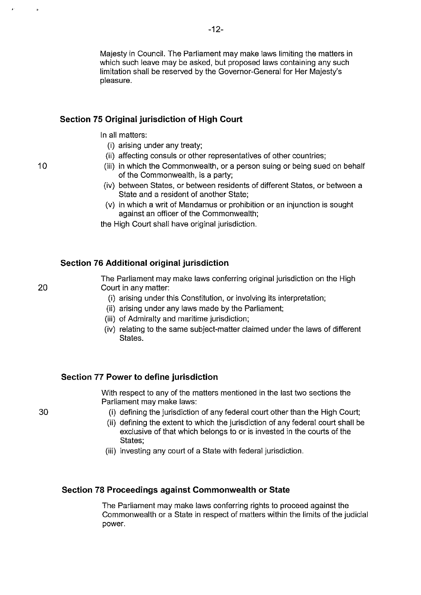Majesty in Council. The Parliament may make laws limiting the matters in which such leave may be asked, but proposed laws containing any such limitation shall be reserved by the Governor-General for Her Majesty's pleasure.

### **Section 75 Original jurisdiction of High Court**

In all matters:

- **(i)** arising under any treaty;
- (ii) affecting consuls or other representatives of other countries;
- (iii) in which the Commonwealth, or a person suing or being sued on behalf of the Commonwealth, is a party;
- (iv) between States, or between residents of different States, or between a State and a resident of another State;
- (v) in which a writ of Mandamus or prohibition or an injunction is sought against an officer of the Commonwealth;

the High Court shall have original jurisdiction.

#### **Section 76 Additional original jurisdiction**

The Parliament may make laws conferring original jurisdiction on the High Court in any matter:

- (i) arising under this Constitution, or involving its interpretation;
- (ii) arising under any laws made by the Parliament;
- (iii) of Admiralty and maritime jurisdiction;
- (iv) relating to the same subject-matter claimed under the laws of different States.

#### **Section 77 Power to define jurisdiction**

With respect to any of the matters mentioned in the last two sections the Parliament may make laws:

- **(i)** defining the jurisdiction of any federal court other than the High Court;
- **(ii)** defining the extent to which the jurisdiction of any federal court shall be exclusive of that which belongs to or is invested in the courts of the States;
- (iii) investing any court of a State with federal jurisdiction.

#### **Section 78 Proceedings against Commonwealth or State**

The Parliament may make laws conferring rights to proceed against the Commonwealth or a State in respect of matters within the limits of the judicial power.

30

10

×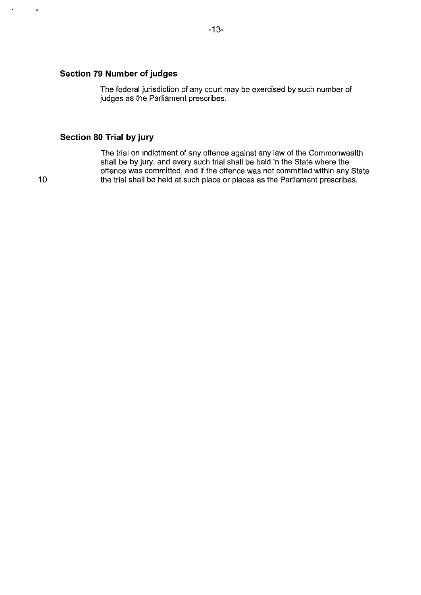## **Section 79 Number of judges**

The federal jurisdiction of any court may be exercised by such number of judges as the Parliament prescribes.

## **Section 80 Trial by jury**

The trial on indictment of any offence against any law of the Commonwealth shall be by jury, and every such trial shall be held in the State where the offence was committed, and if the offence was not committed within any State the trial shall be held at such place or places as the Parliament prescribes.

10

 $\omega$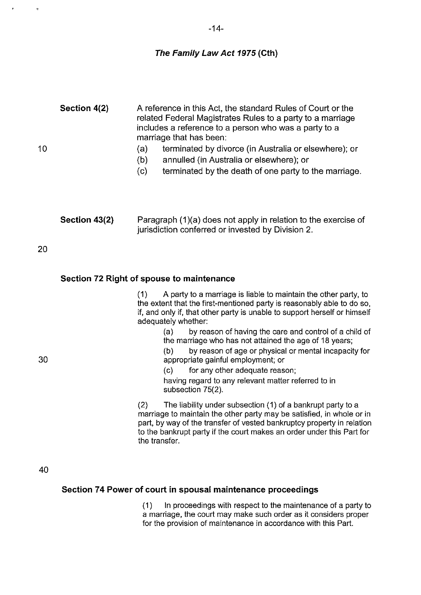$\bullet$ 

 $\bullet$ 

# **The Family Law Act 1975 (Cth)**

| Section 4(2)  | A reference in this Act, the standard Rules of Court or the<br>related Federal Magistrates Rules to a party to a marriage<br>includes a reference to a person who was a party to a<br>marriage that has been:<br>(a)<br>terminated by divorce (in Australia or elsewhere); or                                   |
|---------------|-----------------------------------------------------------------------------------------------------------------------------------------------------------------------------------------------------------------------------------------------------------------------------------------------------------------|
|               | (b)<br>annulled (in Australia or elsewhere); or<br>(c)<br>terminated by the death of one party to the marriage.                                                                                                                                                                                                 |
| Section 43(2) | Paragraph (1)(a) does not apply in relation to the exercise of<br>jurisdiction conferred or invested by Division 2.                                                                                                                                                                                             |
|               |                                                                                                                                                                                                                                                                                                                 |
|               | Section 72 Right of spouse to maintenance                                                                                                                                                                                                                                                                       |
|               | A party to a marriage is liable to maintain the other party, to<br>(1)<br>the extent that the first-mentioned party is reasonably able to do so,<br>if, and only if, that other party is unable to support herself or himself<br>adequately whether:                                                            |
|               | by reason of having the care and control of a child of<br>(a)<br>the marriage who has not attained the age of 18 years;<br>by reason of age or physical or mental incapacity for<br>(b)<br>appropriate gainful employment; or                                                                                   |
|               | $\rm\langle c\rangle$<br>for any other adequate reason;<br>having regard to any relevant matter referred to in<br>subsection 75(2).                                                                                                                                                                             |
|               | The liability under subsection (1) of a bankrupt party to a<br>(2)<br>marriage to maintain the other party may be satisfied, in whole or in<br>part, by way of the transfer of vested bankruptcy property in relation<br>to the bankrupt party if the court makes an order under this Part for<br>the transfer. |
|               |                                                                                                                                                                                                                                                                                                                 |
|               | Section 74 Power of court in spousal maintenance proceedings                                                                                                                                                                                                                                                    |
|               |                                                                                                                                                                                                                                                                                                                 |

(1) In proceedings with respect to the maintenance of a party to a marriage, the court may make such order as it considers proper for the provision of maintenance in accordance with this Part.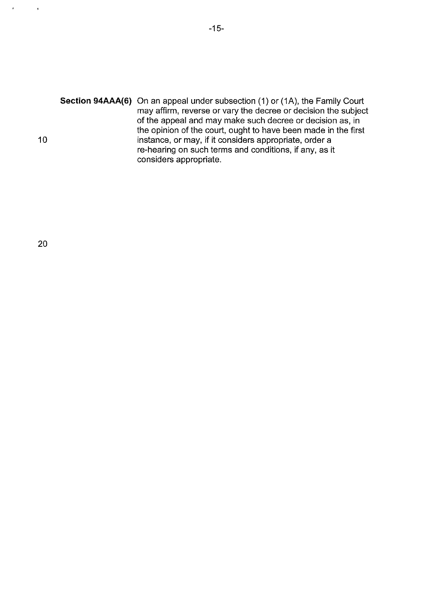**Section 94AAA(6)** On an appeal under subsection (1) or (1A), the Family Court may affirm, reverse or vary the decree or decision the subject of the appeal and may make such decree or decision as, in the opinion of the court, ought to have been made in the first 10 **instance, or may, if it considers appropriate, order a** re-hearing on such terms and conditions, if any, as it considers appropriate.

 $\bar{\bar{z}}$ 

 $\bar{\mathbf{s}}$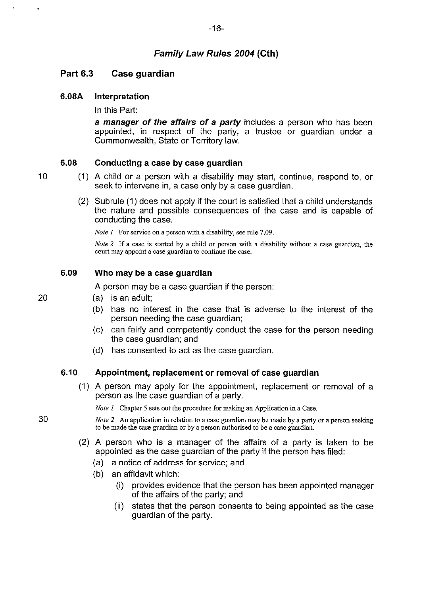## **Part 6.3 Case guardian**

#### **6.08A Interpretation**

In this Part:

**a manager of the affairs of a party** includes a person who has been appointed, in respect of the party, a trustee or guardian under a Commonwealth, State or Territory law.

#### **6.08 Conducting a case by case guardian**

- ( 1) A child or a person with a disability may start, continue, respond to, or seek to intervene in, a case only by a case guardian.
	- (2) Subrule (1) does not apply if the court is satisfied that a child understands the nature and possible consequences of the case and is capable of conducting the case.

*Note 1* For service on a person with a disability, see rule 7.09.

*Note 2* If a case is started by a child or person with a disability without a case guardian, the **court may appoint a case guardian to continue the case.** 

#### **6.09 Who may be a case guardian**

A person may be a case guardian if the person:

- (a) is an adult;
	- (b) has no interest in the case that is adverse to the interest of the person needing the case guardian;
	- (c) can fairly and competently conduct the case for the person needing the case guardian; and
	- (d) has consented to act as the case guardian.

#### **6.10 Appointment, replacement or removal of case guardian**

( 1) A person may apply for the appointment, replacement or removal of a person as the case guardian of a party.

*Note 1* Chapter 5 sets out the procedure for making an Application in a Case.

30 *Note 2* An application in relation to a case guardian may be made by a party or a person seeking **to be made the case guardian or by a person authorised to be a case guardian.** 

- (2) A person who is a manager of the affairs of a party is taken to be appointed as the case guardian of the party if the person has filed:
	- (a) a notice of address for service; and
	- (b) an affidavit which:
		- (i) provides evidence that the person has been appointed manager of the affairs of the party; and
		- (ii) states that the person consents to being appointed as the case guardian of the party.

20

10

-16-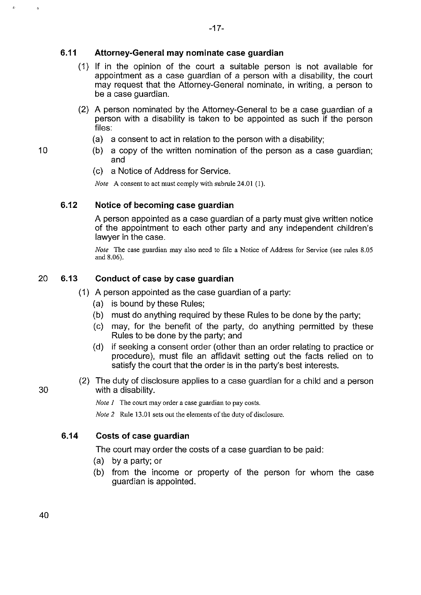#### **6.11 Attorney-General may nominate case guardian**

- ( 1) If in the opinion of the court a suitable person is not available for appointment as a case guardian of a person with a disability, the court may request that the Attorney-General nominate, in writing, a person to be a case guardian.
- (2) A person nominated by the Attorney-General to be a case guardian of a person with a disability is taken to be appointed as such if the person files:
	- (a) a consent to act in relation to the person with a disability;
- 10 (b) a copy of the written nomination of the person as a case guardian; and
	- (c) a Notice of Address for Service.

*Note* A consent to act must comply with subrule 24.01 (1).

## **6.12 Notice of becoming case guardian**

A person appointed as a case guardian of a party must give written notice of the appointment to each other party and any independent children's lawyer in the case.

*Note* The case guardian may also need to file a Notice of Address for Service (see rules 8.05 and 8.06).

## 20 **6.13 Conduct of case by case guardian**

- ( 1) A person appointed as the case guardian of a party:
	- (a) is bound by these Rules;
	- (b) must do anything required by these Rules to be done by the party;
	- (c) may, for the benefit of the party, do anything permitted by these Rules to be done by the party; and
	- (d) if seeking a consent order (other than an order relating to practice or procedure), must file an affidavit setting out the facts relied on to satisfy the court that the order is in the party's best interests.
- (2) The duty of disclosure applies to a case guardian for a child and a person 30 with a disability.

*Note 1* The court may order a case guardian to pay costs.

*Note 2* Rule 13.01 sets out the elements of the duty of disclosure.

#### **6.14 Costs of case guardian**

The court may order the costs of a case guardian to be paid:

- (a) by a party; or
- (b) from the income or property of the person for whom the case guardian is appointed.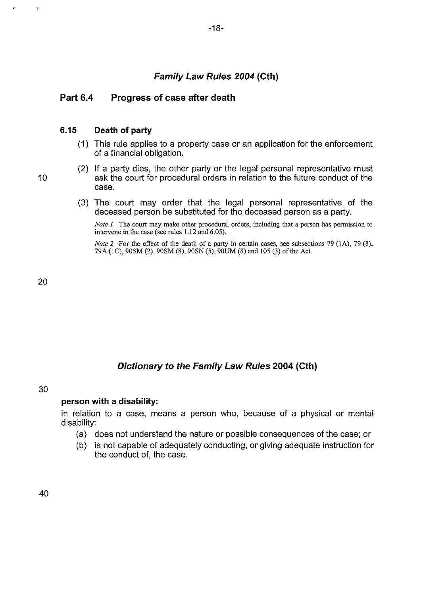## **Family Law Rules 2004 (Cth)**

## **Part 6.4 Progress of case after death**

#### **6.15 Death of party**

- (1) This rule applies to a property case or an application for the enforcement of a financial obligation.
- (2) If a party dies, the other party or the legal personal representative must 10 ask the court for procedural orders in relation to the future conduct of the case.
	- (3) The court may order that the legal personal representative of the deceased person be substituted for the deceased person as a party.

*Note 1* The court may make other procedural orders, including that a person has permission to intervene in the case (see rules 1.12 and 6.05).

*Note 2* For the effect of the death of a party in certain cases, see subsections 79 (1A), 79 (8), 79A (!C), 90SM (2), 90SM (8), 90SN (5), 90UM (8) and 105 (3) of the Act.

20

## **Dictionary to the Family Law Rules 2004 (Cth)**

#### 30

## **person with a disability:**

in relation to a case, means a person who, because of a physical or mental disability:

- (a) does not understand the nature or possible consequences of the case; or
- (b) is not capable of adequately conducting, or giving adequate instruction for the conduct of, the case.

40

 $\Delta$ 

t.